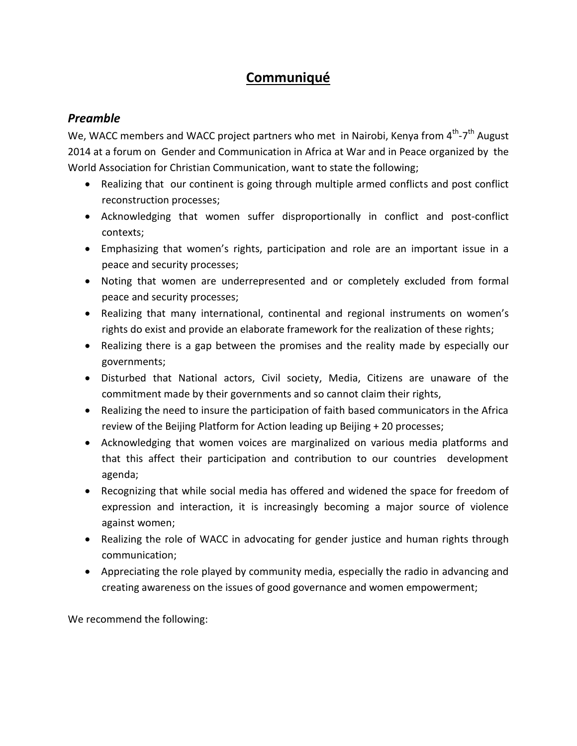## **Communiqué**

## *Preamble*

We, WACC members and WACC project partners who met in Nairobi, Kenya from 4<sup>th</sup>-7<sup>th</sup> August 2014 at a forum on Gender and Communication in Africa at War and in Peace organized by the World Association for Christian Communication, want to state the following;

- Realizing that our continent is going through multiple armed conflicts and post conflict reconstruction processes;
- Acknowledging that women suffer disproportionally in conflict and post-conflict contexts;
- Emphasizing that women's rights, participation and role are an important issue in a peace and security processes;
- Noting that women are underrepresented and or completely excluded from formal peace and security processes;
- Realizing that many international, continental and regional instruments on women's rights do exist and provide an elaborate framework for the realization of these rights;
- Realizing there is a gap between the promises and the reality made by especially our governments;
- Disturbed that National actors, Civil society, Media, Citizens are unaware of the commitment made by their governments and so cannot claim their rights,
- Realizing the need to insure the participation of faith based communicators in the Africa review of the Beijing Platform for Action leading up Beijing + 20 processes;
- Acknowledging that women voices are marginalized on various media platforms and that this affect their participation and contribution to our countries development agenda;
- Recognizing that while social media has offered and widened the space for freedom of expression and interaction, it is increasingly becoming a major source of violence against women;
- Realizing the role of WACC in advocating for gender justice and human rights through communication;
- Appreciating the role played by community media, especially the radio in advancing and creating awareness on the issues of good governance and women empowerment;

We recommend the following: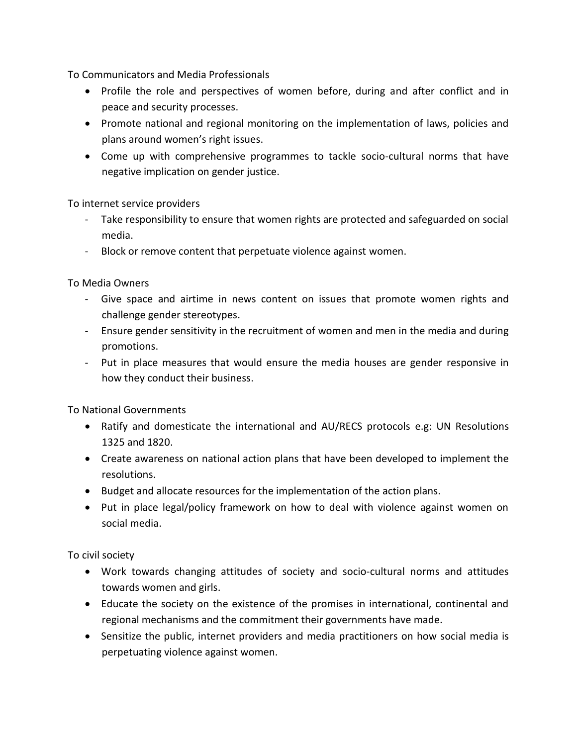To Communicators and Media Professionals

- Profile the role and perspectives of women before, during and after conflict and in peace and security processes.
- Promote national and regional monitoring on the implementation of laws, policies and plans around women's right issues.
- Come up with comprehensive programmes to tackle socio-cultural norms that have negative implication on gender justice.

To internet service providers

- Take responsibility to ensure that women rights are protected and safeguarded on social media.
- Block or remove content that perpetuate violence against women.

To Media Owners

- Give space and airtime in news content on issues that promote women rights and challenge gender stereotypes.
- Ensure gender sensitivity in the recruitment of women and men in the media and during promotions.
- Put in place measures that would ensure the media houses are gender responsive in how they conduct their business.

To National Governments

- Ratify and domesticate the international and AU/RECS protocols e.g: UN Resolutions 1325 and 1820.
- Create awareness on national action plans that have been developed to implement the resolutions.
- Budget and allocate resources for the implementation of the action plans.
- Put in place legal/policy framework on how to deal with violence against women on social media.

To civil society

- Work towards changing attitudes of society and socio-cultural norms and attitudes towards women and girls.
- Educate the society on the existence of the promises in international, continental and regional mechanisms and the commitment their governments have made.
- Sensitize the public, internet providers and media practitioners on how social media is perpetuating violence against women.